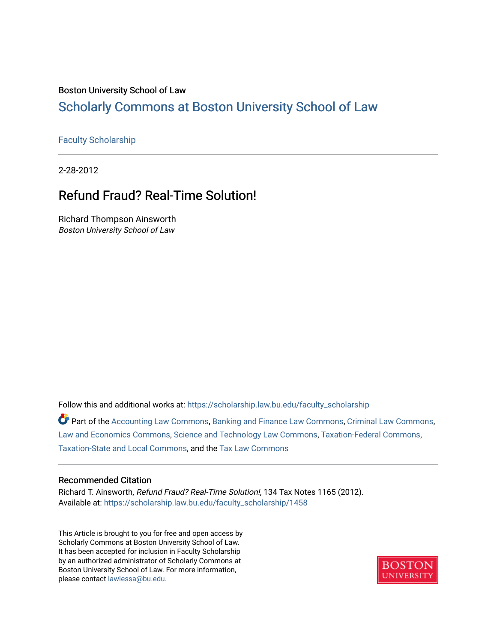#### Boston University School of Law

## [Scholarly Commons at Boston University School of Law](https://scholarship.law.bu.edu/)

#### [Faculty Scholarship](https://scholarship.law.bu.edu/faculty_scholarship)

2-28-2012

# Refund Fraud? Real-Time Solution!

Richard Thompson Ainsworth Boston University School of Law

Follow this and additional works at: [https://scholarship.law.bu.edu/faculty\\_scholarship](https://scholarship.law.bu.edu/faculty_scholarship?utm_source=scholarship.law.bu.edu%2Ffaculty_scholarship%2F1458&utm_medium=PDF&utm_campaign=PDFCoverPages)

Part of the [Accounting Law Commons](http://network.bepress.com/hgg/discipline/828?utm_source=scholarship.law.bu.edu%2Ffaculty_scholarship%2F1458&utm_medium=PDF&utm_campaign=PDFCoverPages), [Banking and Finance Law Commons](http://network.bepress.com/hgg/discipline/833?utm_source=scholarship.law.bu.edu%2Ffaculty_scholarship%2F1458&utm_medium=PDF&utm_campaign=PDFCoverPages), [Criminal Law Commons](http://network.bepress.com/hgg/discipline/912?utm_source=scholarship.law.bu.edu%2Ffaculty_scholarship%2F1458&utm_medium=PDF&utm_campaign=PDFCoverPages), [Law and Economics Commons,](http://network.bepress.com/hgg/discipline/612?utm_source=scholarship.law.bu.edu%2Ffaculty_scholarship%2F1458&utm_medium=PDF&utm_campaign=PDFCoverPages) [Science and Technology Law Commons](http://network.bepress.com/hgg/discipline/875?utm_source=scholarship.law.bu.edu%2Ffaculty_scholarship%2F1458&utm_medium=PDF&utm_campaign=PDFCoverPages), [Taxation-Federal Commons](http://network.bepress.com/hgg/discipline/881?utm_source=scholarship.law.bu.edu%2Ffaculty_scholarship%2F1458&utm_medium=PDF&utm_campaign=PDFCoverPages), [Taxation-State and Local Commons](http://network.bepress.com/hgg/discipline/882?utm_source=scholarship.law.bu.edu%2Ffaculty_scholarship%2F1458&utm_medium=PDF&utm_campaign=PDFCoverPages), and the [Tax Law Commons](http://network.bepress.com/hgg/discipline/898?utm_source=scholarship.law.bu.edu%2Ffaculty_scholarship%2F1458&utm_medium=PDF&utm_campaign=PDFCoverPages) 

#### Recommended Citation

Richard T. Ainsworth, Refund Fraud? Real-Time Solution!, 134 Tax Notes 1165 (2012). Available at: [https://scholarship.law.bu.edu/faculty\\_scholarship/1458](https://scholarship.law.bu.edu/faculty_scholarship/1458?utm_source=scholarship.law.bu.edu%2Ffaculty_scholarship%2F1458&utm_medium=PDF&utm_campaign=PDFCoverPages)

This Article is brought to you for free and open access by Scholarly Commons at Boston University School of Law. It has been accepted for inclusion in Faculty Scholarship by an authorized administrator of Scholarly Commons at Boston University School of Law. For more information, please contact [lawlessa@bu.edu](mailto:lawlessa@bu.edu).

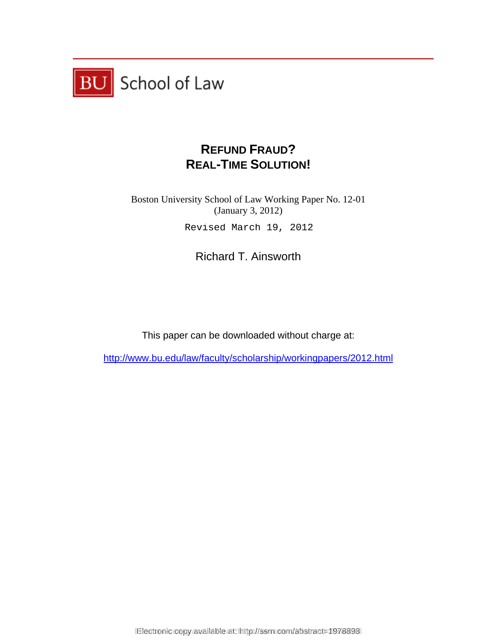

# **REFUND FRAUD? REAL-TIME SOLUTION!**

Boston University School of Law Working Paper No. 12-01 (January 3, 2012)

Richard T. Ainsworth

This paper can be downloaded without charge at:

http://www.bu.edu/law/faculty/scholarship/workingpapers/2012.html Revised March 19, 2012<br>
Richard T. Ainsworth<br>
This paper can be downloaded without charge at:<br>
ww.bu.edu/law/faculty/scholarship/workingpapers/20<br>
Rectronic copy available at: https://ssm.com/abstract=1978898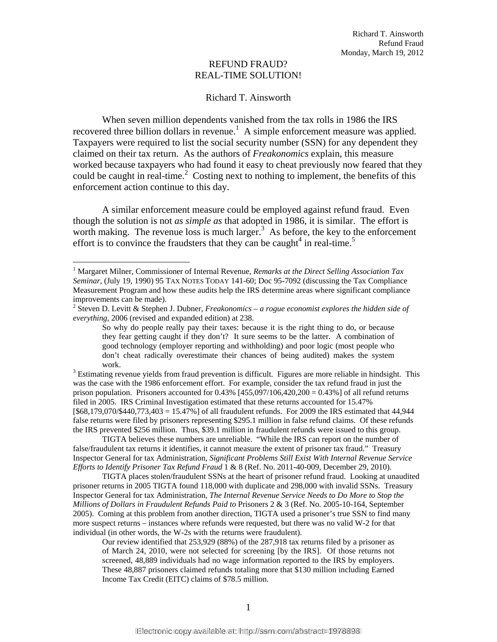#### REFUND FRAUD? REAL-TIME SOLUTION!

#### Richard T. Ainsworth

 When seven million dependents vanished from the tax rolls in 1986 the IRS recovered three billion dollars in revenue.<sup>1</sup> A simple enforcement measure was applied. Taxpayers were required to list the social security number (SSN) for any dependent they claimed on their tax return. As the authors of *Freakonomics* explain, this measure worked because taxpayers who had found it easy to cheat previously now feared that they could be caught in real-time.<sup>2</sup> Costing next to nothing to implement, the benefits of this enforcement action continue to this day.

 A similar enforcement measure could be employed against refund fraud. Even though the solution is not *as simple as* that adopted in 1986, it is similar. The effort is worth making. The revenue loss is much larger.<sup>3</sup> As before, the key to the enforcement effort is to convince the fraudsters that they can be caught<sup>4</sup> in real-time.<sup>5</sup>

 $\overline{a}$ 

work.<br><sup>3</sup> Estimating revenue yields from fraud prevention is difficult. Figures are more reliable in hindsight. This was the case with the 1986 enforcement effort. For example, consider the tax refund fraud in just the prison population. Prisoners accounted for  $0.43\%$  [455,097/106,420,200 = 0.43%] of all refund returns filed in 2005. IRS Criminal Investigation estimated that these returns accounted for 15.47% [\$68,179,070/\$440,773,403 = 15.47%] of all fraudulent refunds. For 2009 the IRS estimated that 44,944 false returns were filed by prisoners representing \$295.1 million in false refund claims. Of these refunds the IRS prevented \$256 million. Thus, \$39.1 million in fraudulent refunds were issued to this group.

TIGTA believes these numbers are unreliable. "While the IRS can report on the number of false/fraudulent tax returns it identifies, it cannot measure the extent of prisoner tax fraud." Treasury Inspector General for tax Administration, *Significant Problems Still Exist With Internal Revenue Service Efforts to Identify Prisoner Tax Refund Fraud* 1 & 8 (Ref. No. 2011-40-009, December 29, 2010).

TIGTA places stolen/fraudulent SSNs at the heart of prisoner refund fraud. Looking at unaudited prisoner returns in 2005 TIGTA found 118,000 with duplicate and 298,000 with invalid SSNs. Treasury Inspector General for tax Administration, *The Internal Revenue Service Needs to Do More to Stop the Millions of Dollars in Fraudulent Refunds Paid to* Prisoners 2 & 3 (Ref. No. 2005-10-164, September 2005). Coming at this problem from another direction, TIGTA used a prisoner's true SSN to find many more suspect returns – instances where refunds were requested, but there was no valid W-2 for that individual (in other words, the W-2s with the returns were fraudulent).

Our review identified that 253,929 (88%) of the 287,918 tax returns filed by a prisoner as of March 24, 2010, were not selected for screening [by the IRS]. Of those returns not screened, 48,889 individuals had no wage information reported to the IRS by employers. These 48,887 prisoners claimed refunds totaling more that \$130 million including Earned Income Tax Credit (EITC) claims of \$78.5 million.

<sup>&</sup>lt;sup>1</sup> Margaret Milner, Commissioner of Internal Revenue, *Remarks at the Direct Selling Association Tax Seminar*, (July 19, 1990) 95 TAX NOTES TODAY 141-60; Doc 95-7092 (discussing the Tax Compliance Measurement Program and how these audits help the IRS determine areas where significant compliance improvements can be made).

<sup>&</sup>lt;sup>2</sup> Steven D. Levitt & Stephen J. Dubner, *Freakonomics – a rogue economist explores the hidden side of everything,* 2006 (revised and expanded edition) at 238.

So why do people really pay their taxes: because it is the right thing to do, or because they fear getting caught if they don't? It sure seems to be the latter. A combination of good technology (employer reporting and withholding) and poor logic (most people who don't cheat radically overestimate their chances of being audited) makes the system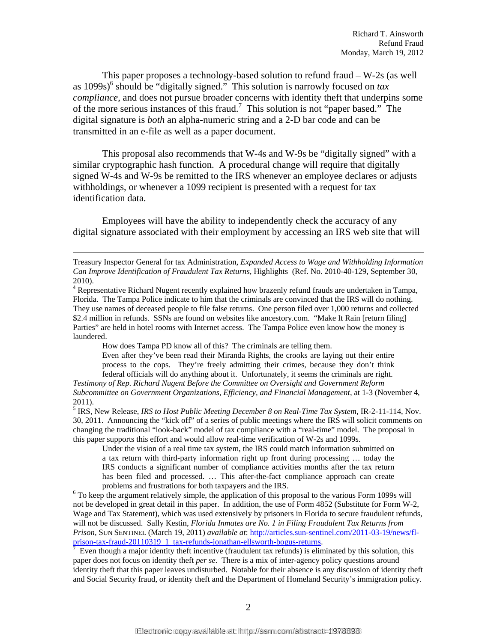This paper proposes a technology-based solution to refund fraud – W-2s (as well as 1099s)<sup>6</sup> should be "digitally signed." This solution is narrowly focused on *tax compliance*, and does not pursue broader concerns with identity theft that underpins some of the more serious instances of this fraud.<sup>7</sup> This solution is not "paper based." The digital signature is *both* an alpha-numeric string and a 2-D bar code and can be transmitted in an e-file as well as a paper document.

This proposal also recommends that W-4s and W-9s be "digitally signed" with a similar cryptographic hash function. A procedural change will require that digitally signed W-4s and W-9s be remitted to the IRS whenever an employee declares or adjusts withholdings, or whenever a 1099 recipient is presented with a request for tax identification data.

Employees will have the ability to independently check the accuracy of any digital signature associated with their employment by accessing an IRS web site that will

How does Tampa PD know all of this? The criminals are telling them.

Even after they've been read their Miranda Rights, the crooks are laying out their entire process to the cops. They're freely admitting their crimes, because they don't think federal officials will do anything about it. Unfortunately, it seems the criminals are right.

*Testimony of Rep. Richard Nugent Before the Committee on Oversight and Government Reform Subcommittee on Government Organizations, Efficiency, and Financial Management*, at 1-3 (November 4, 2011).

5 IRS, New Release, *IRS to Host Public Meeting December 8 on Real-Time Tax System*, IR-2-11-114, Nov. 30, 2011. Announcing the "kick off" of a series of public meetings where the IRS will solicit comments on changing the traditional "look-back" model of tax compliance with a "real-time" model. The proposal in this paper supports this effort and would allow real-time verification of W-2s and 1099s.

Under the vision of a real time tax system, the IRS could match information submitted on a tax return with third-party information right up front during processing … today the IRS conducts a significant number of compliance activities months after the tax return has been filed and processed. … This after-the-fact compliance approach can create problems and frustrations for both taxpayers and the IRS. 6

<sup>6</sup> To keep the argument relatively simple, the application of this proposal to the various Form 1099s will not be developed in great detail in this paper. In addition, the use of Form 4852 (Substitute for Form W-2, Wage and Tax Statement), which was used extensively by prisoners in Florida to secure fraudulent refunds, will not be discussed. Sally Kestin, *Florida Inmates are No. 1 in Filing Fraudulent Tax Returns from Prison,* SUN SENTINEL (March 19, 2011) *available at*: http://articles.sun-sentinel.com/2011-03-19/news/flprison-tax-fraud-20110319\_1\_tax-refunds-jonathan-ellsworth-bogus-returns.

 Even though a major identity theft incentive (fraudulent tax refunds) is eliminated by this solution, this paper does not focus on identity theft *per se.* There is a mix of inter-agency policy questions around identity theft that this paper leaves undisturbed. Notable for their absence is any discussion of identity theft and Social Security fraud, or identity theft and the Department of Homeland Security's immigration policy.

Treasury Inspector General for tax Administration, *Expanded Access to Wage and Withholding Information Can Improve Identification of Fraudulent Tax Returns,* Highlights (Ref. No. 2010-40-129, September 30, 2010).

<sup>&</sup>lt;sup>4</sup> Representative Richard Nugent recently explained how brazenly refund frauds are undertaken in Tampa, Florida. The Tampa Police indicate to him that the criminals are convinced that the IRS will do nothing. They use names of deceased people to file false returns. One person filed over 1,000 returns and collected \$2.4 million in refunds. SSNs are found on websites like ancestory.com. "Make It Rain [return filing] Parties" are held in hotel rooms with Internet access. The Tampa Police even know how the money is laundered.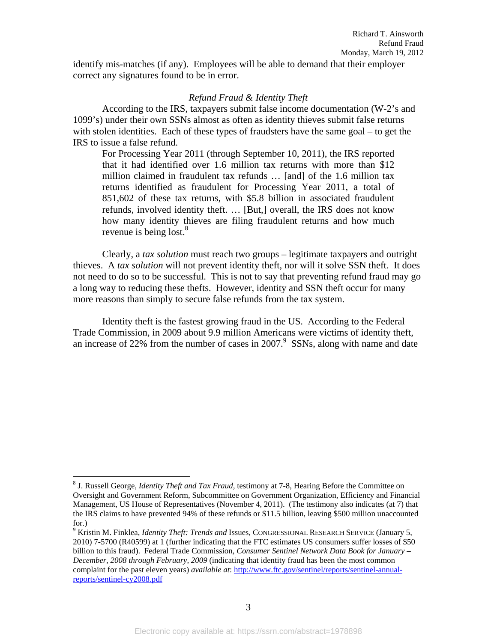identify mis-matches (if any). Employees will be able to demand that their employer correct any signatures found to be in error.

## *Refund Fraud & Identity Theft*

According to the IRS, taxpayers submit false income documentation (W-2's and 1099's) under their own SSNs almost as often as identity thieves submit false returns with stolen identities. Each of these types of fraudsters have the same goal – to get the IRS to issue a false refund.

For Processing Year 2011 (through September 10, 2011), the IRS reported that it had identified over 1.6 million tax returns with more than \$12 million claimed in fraudulent tax refunds … [and] of the 1.6 million tax returns identified as fraudulent for Processing Year 2011, a total of 851,602 of these tax returns, with \$5.8 billion in associated fraudulent refunds, involved identity theft. … [But,] overall, the IRS does not know how many identity thieves are filing fraudulent returns and how much revenue is being lost.<sup>8</sup>

Clearly, a *tax solution* must reach two groups – legitimate taxpayers and outright thieves. A *tax solution* will not prevent identity theft, nor will it solve SSN theft. It does not need to do so to be successful. This is not to say that preventing refund fraud may go a long way to reducing these thefts. However, identity and SSN theft occur for many more reasons than simply to secure false refunds from the tax system.

Identity theft is the fastest growing fraud in the US. According to the Federal Trade Commission, in 2009 about 9.9 million Americans were victims of identity theft, an increase of 22% from the number of cases in  $2007$ .<sup>9</sup> SSNs, along with name and date

<sup>8</sup> J. Russell George, *Identity Theft and Tax Fraud,* testimony at 7-8, Hearing Before the Committee on Oversight and Government Reform, Subcommittee on Government Organization, Efficiency and Financial Management, US House of Representatives (November 4, 2011). (The testimony also indicates (at 7) that the IRS claims to have prevented 94% of these refunds or \$11.5 billion, leaving \$500 million unaccounted for.)

<sup>9</sup> Kristin M. Finklea, *Identity Theft: Trends and* Issues, CONGRESSIONAL RESEARCH SERVICE (January 5, 2010) 7-5700 (R40599) at 1 (further indicating that the FTC estimates US consumers suffer losses of \$50 billion to this fraud). Federal Trade Commission, *Consumer Sentinel Network Data Book for January – December, 2008 through February, 2009* (indicating that identity fraud has been the most common complaint for the past eleven years) *available at*: http://www.ftc.gov/sentinel/reports/sentinel-annualreports/sentinel-cy2008.pdf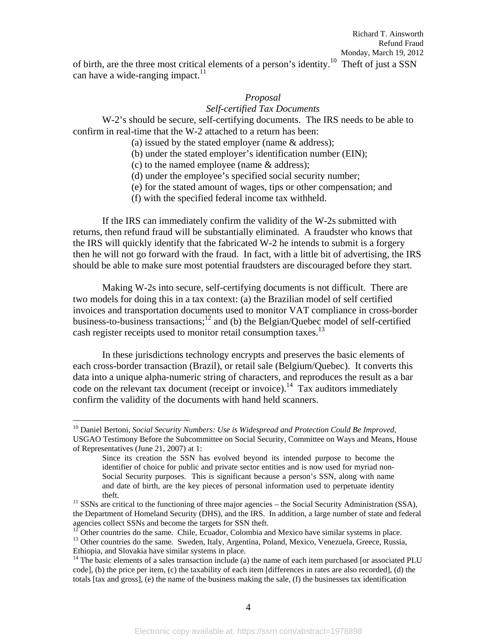of birth, are the three most critical elements of a person's identity.<sup>10</sup> Theft of just a SSN can have a wide-ranging impact. $11$ 

#### *Proposal*

#### *Self-certified Tax Documents*

W-2's should be secure, self-certifying documents. The IRS needs to be able to confirm in real-time that the W-2 attached to a return has been:

(a) issued by the stated employer (name & address);

(b) under the stated employer's identification number (EIN);

(c) to the named employee (name & address);

(d) under the employee's specified social security number;

(e) for the stated amount of wages, tips or other compensation; and

(f) with the specified federal income tax withheld.

If the IRS can immediately confirm the validity of the W-2s submitted with returns, then refund fraud will be substantially eliminated. A fraudster who knows that the IRS will quickly identify that the fabricated W-2 he intends to submit is a forgery then he will not go forward with the fraud. In fact, with a little bit of advertising, the IRS should be able to make sure most potential fraudsters are discouraged before they start.

Making W-2s into secure, self-certifying documents is not difficult. There are two models for doing this in a tax context: (a) the Brazilian model of self certified invoices and transportation documents used to monitor VAT compliance in cross-border business-to-business transactions;<sup>12</sup> and (b) the Belgian/Quebec model of self-certified cash register receipts used to monitor retail consumption taxes.<sup>13</sup>

In these jurisdictions technology encrypts and preserves the basic elements of each cross-border transaction (Brazil), or retail sale (Belgium/Quebec). It converts this data into a unique alpha-numeric string of characters, and reproduces the result as a bar code on the relevant tax document (receipt or invoice).<sup>14</sup> Tax auditors immediately confirm the validity of the documents with hand held scanners.

<sup>&</sup>lt;sup>10</sup> Daniel Bertoni, *Social Security Numbers: Use is Widespread and Protection Could Be Improved*, USGAO Testimony Before the Subcommittee on Social Security, Committee on Ways and Means, House of Representatives (June 21, 2007) at 1:

Since its creation the SSN has evolved beyond its intended purpose to become the identifier of choice for public and private sector entities and is now used for myriad non-Social Security purposes. This is significant because a person's SSN, along with name and date of birth, are the key pieces of personal information used to perpetuate identity

theft.<br><sup>11</sup> SSNs are critical to the functioning of three major agencies – the Social Security Administration (SSA), the Department of Homeland Security (DHS), and the IRS. In addition, a large number of state and federal

agencies collect SSNs and become the targets for SSN theft.<br><sup>12</sup> Other countries do the same. Chile, Ecuador, Colombia and Mexico have similar systems in place.<br><sup>13</sup> Other countries do the same. Sweden, Italy, Argentina, P

<sup>&</sup>lt;sup>14</sup> The basic elements of a sales transaction include (a) the name of each item purchased [or associated PLU code], (b) the price per item, (c) the taxability of each item [differences in rates are also recorded], (d) the totals [tax and gross], (e) the name of the business making the sale, (f) the businesses tax identification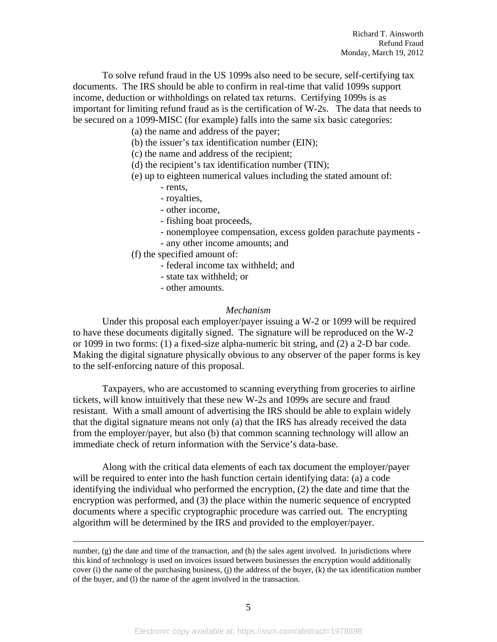To solve refund fraud in the US 1099s also need to be secure, self-certifying tax documents. The IRS should be able to confirm in real-time that valid 1099s support income, deduction or withholdings on related tax returns. Certifying 1099s is as important for limiting refund fraud as is the certification of W-2s. The data that needs to be secured on a 1099-MISC (for example) falls into the same six basic categories:

(a) the name and address of the payer;

- (b) the issuer's tax identification number (EIN);
- (c) the name and address of the recipient;
- (d) the recipient's tax identification number (TIN);
- (e) up to eighteen numerical values including the stated amount of:
	- rents,
	- royalties,
	- other income,
	- fishing boat proceeds,
	- nonemployee compensation, excess golden parachute payments -
	- any other income amounts; and

(f) the specified amount of:

- federal income tax withheld; and
- state tax withheld; or
- other amounts.

#### *Mechanism*

Under this proposal each employer/payer issuing a W-2 or 1099 will be required to have these documents digitally signed. The signature will be reproduced on the W-2 or 1099 in two forms: (1) a fixed-size alpha-numeric bit string, and (2) a 2-D bar code. Making the digital signature physically obvious to any observer of the paper forms is key to the self-enforcing nature of this proposal.

Taxpayers, who are accustomed to scanning everything from groceries to airline tickets, will know intuitively that these new W-2s and 1099s are secure and fraud resistant. With a small amount of advertising the IRS should be able to explain widely that the digital signature means not only (a) that the IRS has already received the data from the employer/payer, but also (b) that common scanning technology will allow an immediate check of return information with the Service's data-base.

Along with the critical data elements of each tax document the employer/payer will be required to enter into the hash function certain identifying data: (a) a code identifying the individual who performed the encryption, (2) the date and time that the encryption was performed, and (3) the place within the numeric sequence of encrypted documents where a specific cryptographic procedure was carried out. The encrypting algorithm will be determined by the IRS and provided to the employer/payer.

number, (g) the date and time of the transaction, and (h) the sales agent involved. In jurisdictions where this kind of technology is used on invoices issued between businesses the encryption would additionally cover (i) the name of the purchasing business, (j) the address of the buyer, (k) the tax identification number of the buyer, and (l) the name of the agent involved in the transaction.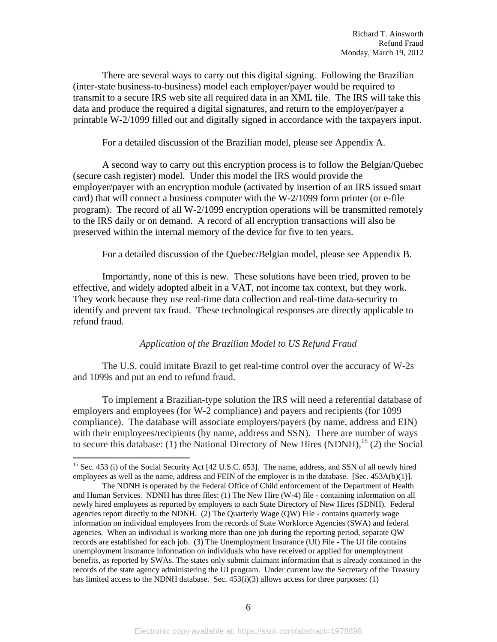There are several ways to carry out this digital signing. Following the Brazilian (inter-state business-to-business) model each employer/payer would be required to transmit to a secure IRS web site all required data in an XML file. The IRS will take this data and produce the required a digital signatures, and return to the employer/payer a printable W-2/1099 filled out and digitally signed in accordance with the taxpayers input.

For a detailed discussion of the Brazilian model, please see Appendix A.

A second way to carry out this encryption process is to follow the Belgian/Quebec (secure cash register) model. Under this model the IRS would provide the employer/payer with an encryption module (activated by insertion of an IRS issued smart card) that will connect a business computer with the W-2/1099 form printer (or e-file program). The record of all W-2/1099 encryption operations will be transmitted remotely to the IRS daily or on demand. A record of all encryption transactions will also be preserved within the internal memory of the device for five to ten years.

For a detailed discussion of the Quebec/Belgian model, please see Appendix B.

Importantly, none of this is new. These solutions have been tried, proven to be effective, and widely adopted albeit in a VAT, not income tax context, but they work. They work because they use real-time data collection and real-time data-security to identify and prevent tax fraud. These technological responses are directly applicable to refund fraud.

#### *Application of the Brazilian Model to US Refund Fraud*

 The U.S. could imitate Brazil to get real-time control over the accuracy of W-2s and 1099s and put an end to refund fraud.

To implement a Brazilian-type solution the IRS will need a referential database of employers and employees (for W-2 compliance) and payers and recipients (for 1099 compliance). The database will associate employers/payers (by name, address and EIN) with their employees/recipients (by name, address and SSN). There are number of ways to secure this database: (1) the National Directory of New Hires (NDNH),  $^{15}$  (2) the Social

<sup>&</sup>lt;sup>15</sup> Sec. 453 (i) of the Social Security Act [42 U.S.C. 653]. The name, address, and SSN of all newly hired employees as well as the name, address and FEIN of the employer is in the database. [Sec. 453A(b)(1)].

The NDNH is operated by the Federal Office of Child enforcement of the Department of Health and Human Services. NDNH has three files: (1) The New Hire (W-4) file - containing information on all newly hired employees as reported by employers to each State Directory of New Hires (SDNH). Federal agencies report directly to the NDNH. (2) The Quarterly Wage (QW) File - contains quarterly wage information on individual employees from the records of State Workforce Agencies (SWA) and federal agencies. When an individual is working more than one job during the reporting period, separate QW records are established for each job. (3) The Unemployment Insurance (UI) File - The UI file contains unemployment insurance information on individuals who have received or applied for unemployment benefits, as reported by SWAs. The states only submit claimant information that is already contained in the records of the state agency administering the UI program. Under current law the Secretary of the Treasury has limited access to the NDNH database. Sec. 453(i)(3) allows access for three purposes: (1)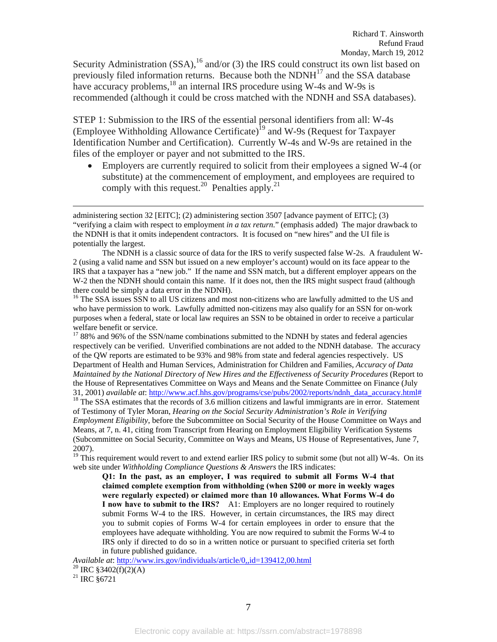Security Administration  $(SSA)$ ,<sup>16</sup> and/or (3) the IRS could construct its own list based on previously filed information returns. Because both the NDNH<sup>17</sup> and the SSA database have accuracy problems,<sup>18</sup> an internal IRS procedure using W-4s and W-9s is recommended (although it could be cross matched with the NDNH and SSA databases).

STEP 1: Submission to the IRS of the essential personal identifiers from all: W-4s (Employee Withholding Allowance Certificate)<sup>19</sup> and W-9s (Request for Taxpayer Identification Number and Certification). Currently W-4s and W-9s are retained in the files of the employer or payer and not submitted to the IRS.

 Employers are currently required to solicit from their employees a signed W-4 (or substitute) at the commencement of employment, and employees are required to comply with this request.<sup>20</sup> Penalties apply.<sup>21</sup>

<sup>17</sup> 88% and 96% of the SSN/name combinations submitted to the NDNH by states and federal agencies respectively can be verified. Unverified combinations are not added to the NDNH database. The accuracy of the QW reports are estimated to be 93% and 98% from state and federal agencies respectively. US Department of Health and Human Services, Administration for Children and Families, *Accuracy of Data Maintained by the National Directory of New Hires and the Effectiveness of Security Procedures* (Report to the House of Representatives Committee on Ways and Means and the Senate Committee on Finance (July 31, 2001) *available at*: http://www.acf.hhs.gov/programs/cse/pubs/2002/reports/ndnh\_data\_accuracy.html#

<sup>18</sup> The SSA estimates that the records of 3.6 million citizens and lawful immigrants are in error. Statement of Testimony of Tyler Moran, *Hearing on the Social Security Administration's Role in Verifying Employment Eligibility*, before the Subcommittee on Social Security of the House Committee on Ways and Means, at 7, n. 41, citing from Transcript from Hearing on Employment Eligibility Verification Systems (Subcommittee on Social Security, Committee on Ways and Means, US House of Representatives, June 7, 2007).

<sup>19</sup> This requirement would revert to and extend earlier IRS policy to submit some (but not all) W-4s. On its web site under *Withholding Compliance Questions & Answers* the IRS indicates:

**Q1: In the past, as an employer, I was required to submit all Forms W-4 that claimed complete exemption from withholding (when \$200 or more in weekly wages were regularly expected) or claimed more than 10 allowances. What Forms W-4 do I now have to submit to the IRS?** A1: Employers are no longer required to routinely submit Forms W-4 to the IRS. However, in certain circumstances, the IRS may direct you to submit copies of Forms W-4 for certain employees in order to ensure that the employees have adequate withholding. You are now required to submit the Forms W-4 to IRS only if directed to do so in a written notice or pursuant to specified criteria set forth in future published guidance.

*Available at*: <u>http://www.irs.gov/individuals/article/0,,id=139412,00.html</u> <sup>20</sup> IRC §3402(f)(2)(A)

21 IRC §6721

administering section 32 [EITC]; (2) administering section 3507 [advance payment of EITC]; (3) "verifying a claim with respect to employment *in a tax return*." (emphasis added) The major drawback to the NDNH is that it omits independent contractors. It is focused on "new hires" and the UI file is potentially the largest.

The NDNH is a classic source of data for the IRS to verify suspected false W-2s. A fraudulent W-2 (using a valid name and SSN but issued on a new employer's account) would on its face appear to the IRS that a taxpayer has a "new job." If the name and SSN match, but a different employer appears on the W-2 then the NDNH should contain this name. If it does not, then the IRS might suspect fraud (although there could be simply a data error in the NDNH).

<sup>&</sup>lt;sup>16</sup> The SSA issues SSN to all US citizens and most non-citizens who are lawfully admitted to the US and who have permission to work. Lawfully admitted non-citizens may also qualify for an SSN for on-work purposes when a federal, state or local law requires an SSN to be obtained in order to receive a particular welfare benefit or service.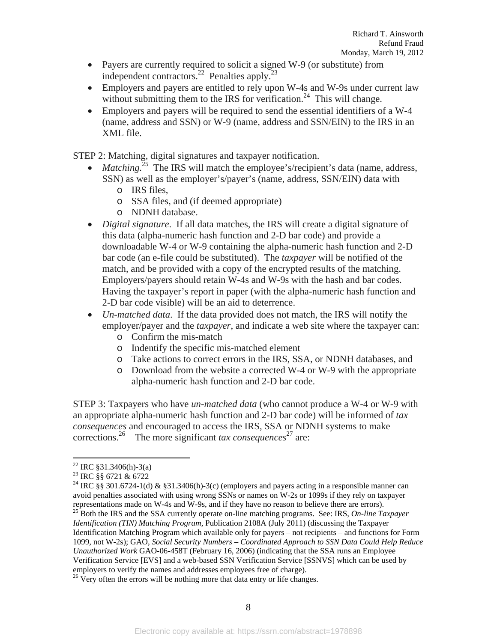- Payers are currently required to solicit a signed W-9 (or substitute) from independent contractors.<sup>22</sup> Penalties apply.<sup>23</sup>
- Employers and payers are entitled to rely upon W-4s and W-9s under current law without submitting them to the IRS for verification.<sup>24</sup> This will change.
- Employers and payers will be required to send the essential identifiers of a W-4 (name, address and SSN) or W-9 (name, address and SSN/EIN) to the IRS in an XML file.

STEP 2: Matching, digital signatures and taxpayer notification.

- *Matching.*<sup>25</sup> The IRS will match the employee's/recipient's data (name, address, SSN) as well as the employer's/payer's (name, address, SSN/EIN) data with
	- o IRS files,
	- o SSA files, and (if deemed appropriate)
	- o NDNH database.
- *Digital signature*. If all data matches, the IRS will create a digital signature of this data (alpha-numeric hash function and 2-D bar code) and provide a downloadable W-4 or W-9 containing the alpha-numeric hash function and 2-D bar code (an e-file could be substituted). The *taxpayer* will be notified of the match, and be provided with a copy of the encrypted results of the matching. Employers/payers should retain W-4s and W-9s with the hash and bar codes. Having the taxpayer's report in paper (with the alpha-numeric hash function and 2-D bar code visible) will be an aid to deterrence.
- *Un-matched data*. If the data provided does not match, the IRS will notify the employer/payer and the *taxpayer*, and indicate a web site where the taxpayer can:
	- o Confirm the mis-match
	- o Indentify the specific mis-matched element
	- o Take actions to correct errors in the IRS, SSA, or NDNH databases, and
	- o Download from the website a corrected W-4 or W-9 with the appropriate alpha-numeric hash function and 2-D bar code.

STEP 3: Taxpayers who have *un-matched data* (who cannot produce a W-4 or W-9 with an appropriate alpha-numeric hash function and 2-D bar code) will be informed of *tax consequences* and encouraged to access the IRS, SSA or NDNH systems to make corrections.<sup>26</sup> The more significant *tax consequences*<sup>27</sup> are:

25 Both the IRS and the SSA currently operate on-line matching programs. See: IRS, *On-line Taxpayer Identification (TIN) Matching Program*, Publication 2108A (July 2011) (discussing the Taxpayer Identification Matching Program which available only for payers – not recipients – and functions for Form 1099, not W-2s); GAO, *Social Security Numbers – Coordinated Approach to SSN Data Could Help Reduce Unauthorized Work* GAO-06-458T (February 16, 2006) (indicating that the SSA runs an Employee Verification Service [EVS] and a web-based SSN Verification Service [SSNVS] which can be used by employers to verify the names and addresses employees free of charge).<br><sup>26</sup> Very often the errors will be nothing more that data entry or life changes.

 $\overline{a}$ <sup>22</sup> IRC §31.3406(h)-3(a)

<sup>23</sup> IRC §§ 6721 & 6722

<sup>&</sup>lt;sup>24</sup> IRC §§ 301.6724-1(d) & §31.3406(h)-3(c) (employers and payers acting in a responsible manner can avoid penalties associated with using wrong SSNs or names on W-2s or 1099s if they rely on taxpayer representations made on W-4s and W-9s, and if they have no reason to believe there are errors).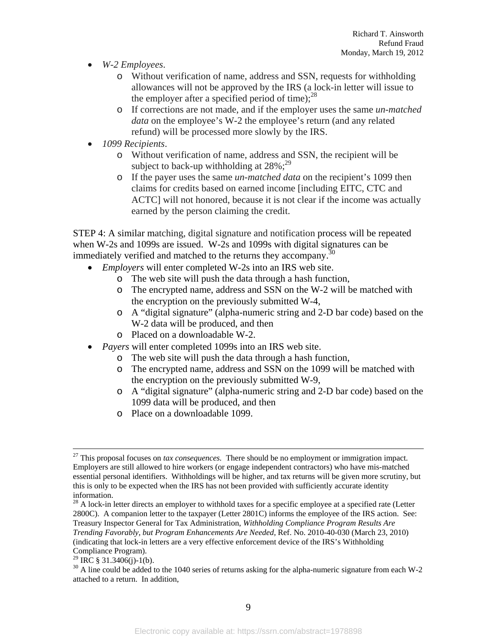- *W-2 Employees*.
	- o Without verification of name, address and SSN, requests for withholding allowances will not be approved by the IRS (a lock-in letter will issue to the employer after a specified period of time);  $28$
	- o If corrections are not made, and if the employer uses the same *un-matched data* on the employee's W-2 the employee's return (and any related refund) will be processed more slowly by the IRS.
- *1099 Recipients*.
	- o Without verification of name, address and SSN, the recipient will be subject to back-up withholding at  $28\%$ ;<sup>29</sup>
	- o If the payer uses the same *un-matched data* on the recipient's 1099 then claims for credits based on earned income [including EITC, CTC and ACTC] will not honored, because it is not clear if the income was actually earned by the person claiming the credit.

STEP 4: A similar matching, digital signature and notification process will be repeated when W-2s and 1099s are issued. W-2s and 1099s with digital signatures can be immediately verified and matched to the returns they accompany.<sup>30</sup>

- *Employers* will enter completed W-2s into an IRS web site.
	- o The web site will push the data through a hash function,
	- o The encrypted name, address and SSN on the W-2 will be matched with the encryption on the previously submitted W-4,
	- o A "digital signature" (alpha-numeric string and 2-D bar code) based on the W-2 data will be produced, and then
	- o Placed on a downloadable W-2.
- *Payers* will enter completed 1099s into an IRS web site.
	- o The web site will push the data through a hash function,
	- o The encrypted name, address and SSN on the 1099 will be matched with the encryption on the previously submitted W-9,
	- o A "digital signature" (alpha-numeric string and 2-D bar code) based on the 1099 data will be produced, and then
	- o Place on a downloadable 1099.

<sup>&</sup>lt;sup>27</sup> This proposal focuses on *tax consequences*. There should be no employment or immigration impact. Employers are still allowed to hire workers (or engage independent contractors) who have mis-matched essential personal identifiers. Withholdings will be higher, and tax returns will be given more scrutiny, but this is only to be expected when the IRS has not been provided with sufficiently accurate identity information.

 $^{28}$  A lock-in letter directs an employer to withhold taxes for a specific employee at a specified rate (Letter 2800C). A companion letter to the taxpayer (Letter 2801C) informs the employee of the IRS action. See: Treasury Inspector General for Tax Administration, *Withholding Compliance Program Results Are Trending Favorably, but Program Enhancements Are Needed,* Ref. No. 2010-40-030 (March 23, 2010) (indicating that lock-in letters are a very effective enforcement device of the IRS's Withholding Compliance Program).

<sup>&</sup>lt;sup>29</sup> IRC § 31.3406(j)-1(b).

<sup>&</sup>lt;sup>30</sup> A line could be added to the 1040 series of returns asking for the alpha-numeric signature from each W-2 attached to a return. In addition,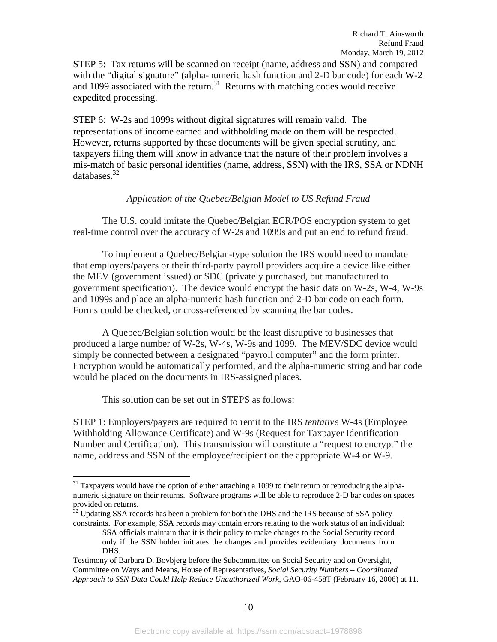STEP 5: Tax returns will be scanned on receipt (name, address and SSN) and compared with the "digital signature" (alpha-numeric hash function and 2-D bar code) for each W-2 and 1099 associated with the return. $31$  Returns with matching codes would receive expedited processing.

STEP 6: W-2s and 1099s without digital signatures will remain valid. The representations of income earned and withholding made on them will be respected. However, returns supported by these documents will be given special scrutiny, and taxpayers filing them will know in advance that the nature of their problem involves a mis-match of basic personal identifies (name, address, SSN) with the IRS, SSA or NDNH databases.<sup>32</sup>

## *Application of the Quebec/Belgian Model to US Refund Fraud*

 The U.S. could imitate the Quebec/Belgian ECR/POS encryption system to get real-time control over the accuracy of W-2s and 1099s and put an end to refund fraud.

To implement a Quebec/Belgian-type solution the IRS would need to mandate that employers/payers or their third-party payroll providers acquire a device like either the MEV (government issued) or SDC (privately purchased, but manufactured to government specification). The device would encrypt the basic data on W-2s, W-4, W-9s and 1099s and place an alpha-numeric hash function and 2-D bar code on each form. Forms could be checked, or cross-referenced by scanning the bar codes.

A Quebec/Belgian solution would be the least disruptive to businesses that produced a large number of W-2s, W-4s, W-9s and 1099. The MEV/SDC device would simply be connected between a designated "payroll computer" and the form printer. Encryption would be automatically performed, and the alpha-numeric string and bar code would be placed on the documents in IRS-assigned places.

This solution can be set out in STEPS as follows:

 $\overline{a}$ 

STEP 1: Employers/payers are required to remit to the IRS *tentative* W-4s (Employee Withholding Allowance Certificate) and W-9s (Request for Taxpayer Identification Number and Certification). This transmission will constitute a "request to encrypt" the name, address and SSN of the employee/recipient on the appropriate W-4 or W-9.

 $31$  Taxpayers would have the option of either attaching a 1099 to their return or reproducing the alphanumeric signature on their returns. Software programs will be able to reproduce 2-D bar codes on spaces provided on returns.

 $32$  Updating SSA records has been a problem for both the DHS and the IRS because of SSA policy constraints. For example, SSA records may contain errors relating to the work status of an individual:

SSA officials maintain that it is their policy to make changes to the Social Security record only if the SSN holder initiates the changes and provides evidentiary documents from DHS.

Testimony of Barbara D. Bovbjerg before the Subcommittee on Social Security and on Oversight, Committee on Ways and Means, House of Representatives, *Social Security Numbers – Coordinated Approach to SSN Data Could Help Reduce Unauthorized Work*, GAO-06-458T (February 16, 2006) at 11.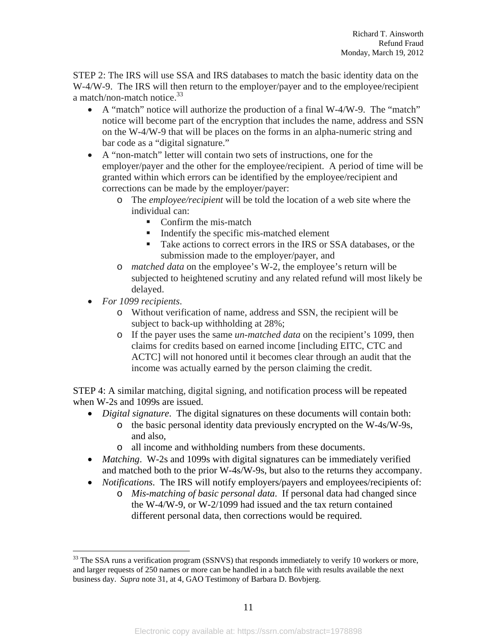STEP 2: The IRS will use SSA and IRS databases to match the basic identity data on the W-4/W-9. The IRS will then return to the employer/payer and to the employee/recipient a match/non-match notice. $33$ 

- A "match" notice will authorize the production of a final W-4/W-9. The "match" notice will become part of the encryption that includes the name, address and SSN on the W-4/W-9 that will be places on the forms in an alpha-numeric string and bar code as a "digital signature."
- A "non-match" letter will contain two sets of instructions, one for the employer/payer and the other for the employee/recipient. A period of time will be granted within which errors can be identified by the employee/recipient and corrections can be made by the employer/payer:
	- o The *employee/recipient* will be told the location of a web site where the individual can:
		- Confirm the mis-match
		- $\blacksquare$  Indentify the specific mis-matched element
		- Take actions to correct errors in the IRS or SSA databases, or the submission made to the employer/payer, and
	- o *matched data* on the employee's W-2, the employee's return will be subjected to heightened scrutiny and any related refund will most likely be delayed.
- *For 1099 recipients*.

 $\overline{a}$ 

- o Without verification of name, address and SSN, the recipient will be subject to back-up withholding at 28%;
- o If the payer uses the same *un-matched data* on the recipient's 1099, then claims for credits based on earned income [including EITC, CTC and ACTC] will not honored until it becomes clear through an audit that the income was actually earned by the person claiming the credit.

STEP 4: A similar matching, digital signing, and notification process will be repeated when W-2s and 1099s are issued.

- *Digital signature*. The digital signatures on these documents will contain both: o the basic personal identity data previously encrypted on the W-4s/W-9s, and also,
	- o all income and withholding numbers from these documents.
- *Matching*. W-2s and 1099s with digital signatures can be immediately verified and matched both to the prior W-4s/W-9s, but also to the returns they accompany.
- *Notifications*. The IRS will notify employers/payers and employees/recipients of:
	- o *Mis-matching of basic personal data*. If personal data had changed since the W-4/W-9, or W-2/1099 had issued and the tax return contained different personal data, then corrections would be required.

<sup>&</sup>lt;sup>33</sup> The SSA runs a verification program (SSNVS) that responds immediately to verify 10 workers or more, and larger requests of 250 names or more can be handled in a batch file with results available the next business day. *Supra* note 31, at 4, GAO Testimony of Barbara D. Bovbjerg.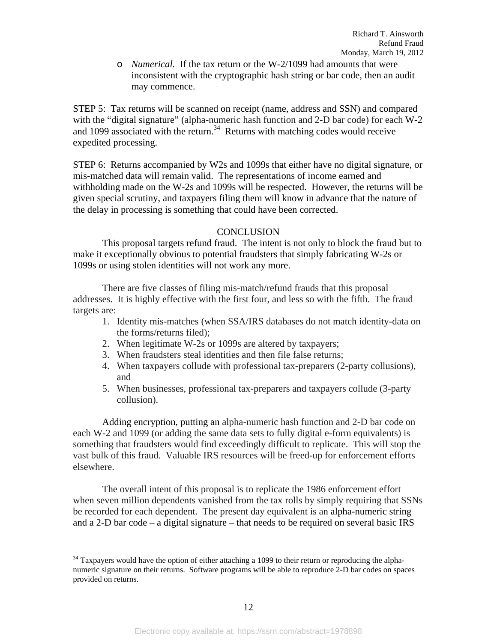o *Numerical.* If the tax return or the W-2/1099 had amounts that were inconsistent with the cryptographic hash string or bar code, then an audit may commence.

STEP 5: Tax returns will be scanned on receipt (name, address and SSN) and compared with the "digital signature" (alpha-numeric hash function and 2-D bar code) for each W-2 and 1099 associated with the return. $34$  Returns with matching codes would receive expedited processing.

STEP 6: Returns accompanied by W2s and 1099s that either have no digital signature, or mis-matched data will remain valid. The representations of income earned and withholding made on the W-2s and 1099s will be respected. However, the returns will be given special scrutiny, and taxpayers filing them will know in advance that the nature of the delay in processing is something that could have been corrected.

## **CONCLUSION**

 This proposal targets refund fraud. The intent is not only to block the fraud but to make it exceptionally obvious to potential fraudsters that simply fabricating W-2s or 1099s or using stolen identities will not work any more.

There are five classes of filing mis-match/refund frauds that this proposal addresses. It is highly effective with the first four, and less so with the fifth. The fraud targets are:

- 1. Identity mis-matches (when SSA/IRS databases do not match identity-data on the forms/returns filed);
- 2. When legitimate W-2s or 1099s are altered by taxpayers;
- 3. When fraudsters steal identities and then file false returns;
- 4. When taxpayers collude with professional tax-preparers (2-party collusions), and
- 5. When businesses, professional tax-preparers and taxpayers collude (3-party collusion).

Adding encryption, putting an alpha-numeric hash function and 2-D bar code on each W-2 and 1099 (or adding the same data sets to fully digital e-form equivalents) is something that fraudsters would find exceedingly difficult to replicate. This will stop the vast bulk of this fraud. Valuable IRS resources will be freed-up for enforcement efforts elsewhere.

The overall intent of this proposal is to replicate the 1986 enforcement effort when seven million dependents vanished from the tax rolls by simply requiring that SSNs be recorded for each dependent. The present day equivalent is an alpha-numeric string and a 2-D bar code – a digital signature – that needs to be required on several basic IRS

<sup>&</sup>lt;sup>34</sup> Taxpayers would have the option of either attaching a 1099 to their return or reproducing the alphanumeric signature on their returns. Software programs will be able to reproduce 2-D bar codes on spaces provided on returns.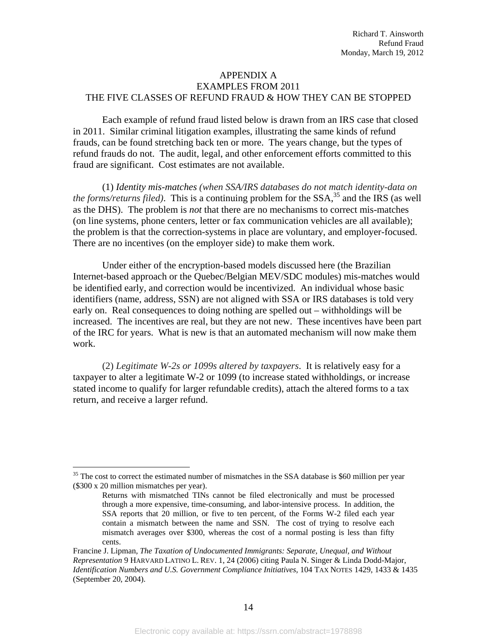## APPENDIX A EXAMPLES FROM 2011 THE FIVE CLASSES OF REFUND FRAUD & HOW THEY CAN BE STOPPED

Each example of refund fraud listed below is drawn from an IRS case that closed in 2011. Similar criminal litigation examples, illustrating the same kinds of refund frauds, can be found stretching back ten or more. The years change, but the types of refund frauds do not. The audit, legal, and other enforcement efforts committed to this fraud are significant. Cost estimates are not available.

(1) *Identity mis-matches (when SSA/IRS databases do not match identity-data on the forms/returns filed)*. This is a continuing problem for the  $SSA$ <sup>35</sup> and the IRS (as well as the DHS). The problem is *not* that there are no mechanisms to correct mis-matches (on line systems, phone centers, letter or fax communication vehicles are all available); the problem is that the correction-systems in place are voluntary, and employer-focused. There are no incentives (on the employer side) to make them work.

Under either of the encryption-based models discussed here (the Brazilian Internet-based approach or the Quebec/Belgian MEV/SDC modules) mis-matches would be identified early, and correction would be incentivized. An individual whose basic identifiers (name, address, SSN) are not aligned with SSA or IRS databases is told very early on. Real consequences to doing nothing are spelled out – withholdings will be increased. The incentives are real, but they are not new. These incentives have been part of the IRC for years. What is new is that an automated mechanism will now make them work.

(2) *Legitimate W-2s or 1099s altered by taxpayers*. It is relatively easy for a taxpayer to alter a legitimate W-2 or 1099 (to increase stated withholdings, or increase stated income to qualify for larger refundable credits), attach the altered forms to a tax return, and receive a larger refund.

<sup>&</sup>lt;sup>35</sup> The cost to correct the estimated number of mismatches in the SSA database is \$60 million per year (\$300 x 20 million mismatches per year).

Returns with mismatched TINs cannot be filed electronically and must be processed through a more expensive, time-consuming, and labor-intensive process. In addition, the SSA reports that 20 million, or five to ten percent, of the Forms W-2 filed each year contain a mismatch between the name and SSN. The cost of trying to resolve each mismatch averages over \$300, whereas the cost of a normal posting is less than fifty cents.

Francine J. Lipman, *The Taxation of Undocumented Immigrants: Separate, Unequal, and Without Representation* 9 HARVARD LATINO L. REV. 1, 24 (2006) citing Paula N. Singer & Linda Dodd-Major, *Identification Numbers and U.S. Government Compliance Initiatives,* 104 TAX NOTES 1429, 1433 & 1435 (September 20, 2004).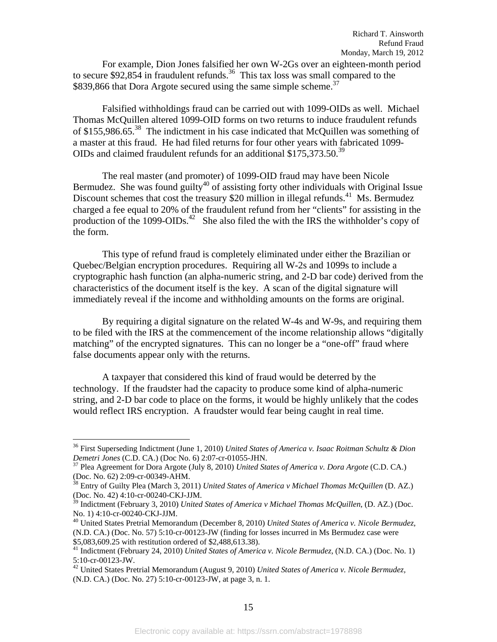For example, Dion Jones falsified her own W-2Gs over an eighteen-month period to secure \$92,854 in fraudulent refunds.<sup>36</sup> This tax loss was small compared to the \$839,866 that Dora Argote secured using the same simple scheme.<sup>37</sup>

Falsified withholdings fraud can be carried out with 1099-OIDs as well. Michael Thomas McQuillen altered 1099-OID forms on two returns to induce fraudulent refunds of \$155,986.65.38 The indictment in his case indicated that McQuillen was something of a master at this fraud. He had filed returns for four other years with fabricated 1099- OIDs and claimed fraudulent refunds for an additional \$175,373.50.<sup>39</sup>

The real master (and promoter) of 1099-OID fraud may have been Nicole Bermudez. She was found guilty<sup>40</sup> of assisting forty other individuals with Original Issue Discount schemes that cost the treasury \$20 million in illegal refunds.<sup>41</sup> Ms. Bermudez charged a fee equal to 20% of the fraudulent refund from her "clients" for assisting in the production of the 1099-OIDs.<sup>42</sup> She also filed the with the IRS the withholder's copy of the form.

This type of refund fraud is completely eliminated under either the Brazilian or Quebec/Belgian encryption procedures. Requiring all W-2s and 1099s to include a cryptographic hash function (an alpha-numeric string, and 2-D bar code) derived from the characteristics of the document itself is the key. A scan of the digital signature will immediately reveal if the income and withholding amounts on the forms are original.

By requiring a digital signature on the related W-4s and W-9s, and requiring them to be filed with the IRS at the commencement of the income relationship allows "digitally matching" of the encrypted signatures. This can no longer be a "one-off" fraud where false documents appear only with the returns.

A taxpayer that considered this kind of fraud would be deterred by the technology. If the fraudster had the capacity to produce some kind of alpha-numeric string, and 2-D bar code to place on the forms, it would be highly unlikely that the codes would reflect IRS encryption. A fraudster would fear being caught in real time.

1

<sup>36</sup> First Superseding Indictment (June 1, 2010) *United States of America v. Isaac Roitman Schultz & Dion Demetri Jones* (C.D. CA.) (Doc No. 6) 2:07-cr-01055-JHN.<br><sup>37</sup> Plea Agreement for Dora Argote (July 8, 2010) *United States of America v. Dora Argote* (C.D. CA.)

<sup>(</sup>Doc. No. 62) 2:09-cr-00349-AHM.

<sup>&</sup>lt;sup>38</sup> Entry of Guilty Plea (March 3, 2011) *United States of America v Michael Thomas McQuillen* (D. AZ.) (Doc. No. 42) 4:10-cr-00240-CKJ-JJM.

<sup>&</sup>lt;sup>39</sup> Indictment (February 3, 2010) *United States of America v Michael Thomas McQuillen*, (D. AZ.) (Doc. No. 1) 4:10-cr-00240-CKJ-JJM.

<sup>40</sup> United States Pretrial Memorandum (December 8, 2010) *United States of America v. Nicole Bermudez,* (N.D. CA.) (Doc. No. 57) 5:10-cr-00123-JW (finding for losses incurred in Ms Bermudez case were \$5,083,609.25 with restitution ordered of \$2,488,613.38). 41 Indictment (February 24, 2010) *United States of America v. Nicole Bermudez,* (N.D. CA.) (Doc. No. 1)

<sup>5:10-</sup>cr-00123-JW.

<sup>42</sup> United States Pretrial Memorandum (August 9, 2010) *United States of America v. Nicole Bermudez,* (N.D. CA.) (Doc. No. 27) 5:10-cr-00123-JW, at page 3, n. 1.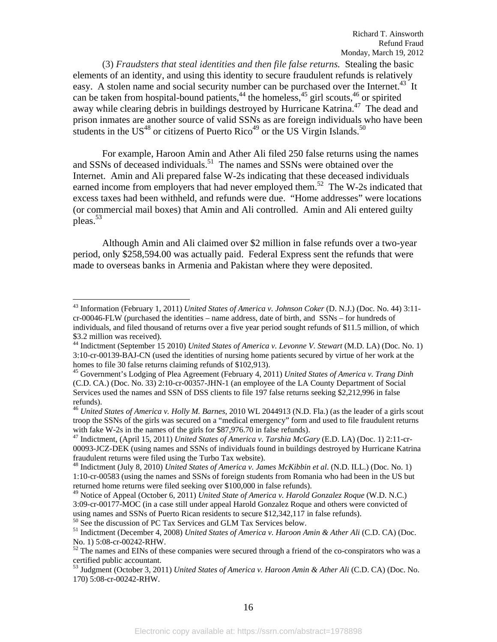(3) *Fraudsters that steal identities and then file false returns.* Stealing the basic elements of an identity, and using this identity to secure fraudulent refunds is relatively easy. A stolen name and social security number can be purchased over the Internet.<sup>43</sup> It can be taken from hospital-bound patients,<sup>44</sup> the homeless,<sup>45</sup> girl scouts, $^{46}_{47}$  or spirited away while clearing debris in buildings destroyed by Hurricane Katrina.<sup>47</sup> The dead and prison inmates are another source of valid SSNs as are foreign individuals who have been students in the  $US^{48}$  or citizens of Puerto Rico<sup>49</sup> or the US Virgin Islands.<sup>50</sup>

For example, Haroon Amin and Ather Ali filed 250 false returns using the names and SSNs of deceased individuals.<sup>51</sup> The names and SSNs were obtained over the Internet. Amin and Ali prepared false W-2s indicating that these deceased individuals earned income from employers that had never employed them.<sup>52</sup> The W-2s indicated that excess taxes had been withheld, and refunds were due. "Home addresses" were locations (or commercial mail boxes) that Amin and Ali controlled. Amin and Ali entered guilty pleas.53

Although Amin and Ali claimed over \$2 million in false refunds over a two-year period, only \$258,594.00 was actually paid. Federal Express sent the refunds that were made to overseas banks in Armenia and Pakistan where they were deposited.

<sup>50</sup> See the discussion of PC Tax Services and GLM Tax Services below.

<u>.</u>

<sup>43</sup> Information (February 1, 2011) *United States of America v. Johnson Coker* (D. N.J.) (Doc. No. 44) 3:11 cr-00046-FLW (purchased the identities – name address, date of birth, and SSNs – for hundreds of individuals, and filed thousand of returns over a five year period sought refunds of \$11.5 million, of which \$3.2 million was received).

<sup>44</sup> Indictment (September 15 2010) *United States of America v. Levonne V. Stewart* (M.D. LA) (Doc. No. 1) 3:10-cr-00139-BAJ-CN (used the identities of nursing home patients secured by virtue of her work at the homes to file 30 false returns claiming refunds of \$102,913).

<sup>45</sup> Government's Lodging of Plea Agreement (February 4, 2011) *United States of America v. Trang Dinh* (C.D. CA.) (Doc. No. 33) 2:10-cr-00357-JHN-1 (an employee of the LA County Department of Social Services used the names and SSN of DSS clients to file 197 false returns seeking \$2,212,996 in false refunds).

<sup>46</sup> *United States of America v. Holly M. Barnes*, 2010 WL 2044913 (N.D. Fla.) (as the leader of a girls scout troop the SSNs of the girls was secured on a "medical emergency" form and used to file fraudulent returns with fake W-2s in the names of the girls for \$87,976.70 in false refunds).

<sup>47</sup> Indictment, (April 15, 2011) *United States of America v. Tarshia McGary* (E.D. LA) (Doc. 1) 2:11-cr-00093-JCZ-DEK (using names and SSNs of individuals found in buildings destroyed by Hurricane Katrina fraudulent returns were filed using the Turbo Tax website).

<sup>48</sup> Indictment (July 8, 2010) *United States of America v. James McKibbin et al*. (N.D. ILL.) (Doc. No. 1) 1:10-cr-00583 (using the names and SSNs of foreign students from Romania who had been in the US but returned home returns were filed seeking over \$100,000 in false refunds).

<sup>49</sup> Notice of Appeal (October 6, 2011) *United State of America v. Harold Gonzalez Roque* (W.D. N.C.) 3:09-cr-00177-MOC (in a case still under appeal Harold Gonzalez Roque and others were convicted of using names and SSNs of Puerto Rican residents to secure \$12,342,117 in false refunds).

<sup>51</sup> Indictment (December 4, 2008) *United States of America v. Haroon Amin & Ather Ali* (C.D. CA) (Doc. No. 1) 5:08-cr-00242-RHW.

 $52$  The names and EINs of these companies were secured through a friend of the co-conspirators who was a certified public accountant.

<sup>53</sup> Judgment (October 3, 2011) *United States of America v. Haroon Amin & Ather Ali* (C.D. CA) (Doc. No. 170) 5:08-cr-00242-RHW.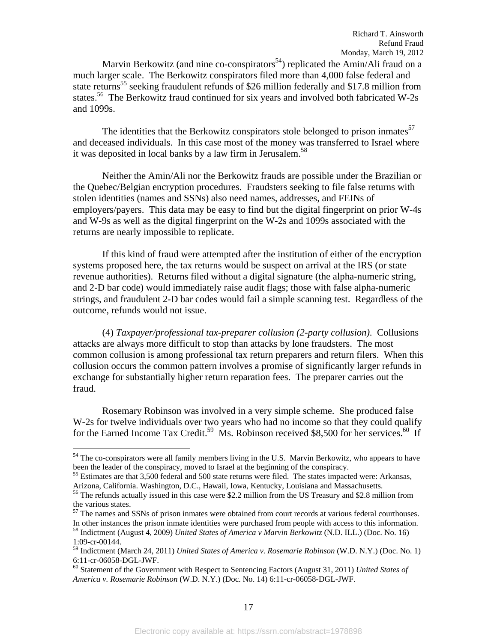Marvin Berkowitz (and nine co-conspirators<sup>54</sup>) replicated the Amin/Ali fraud on a much larger scale. The Berkowitz conspirators filed more than 4,000 false federal and state returns<sup>55</sup> seeking fraudulent refunds of \$26 million federally and \$17.8 million from states.<sup>56</sup> The Berkowitz fraud continued for six years and involved both fabricated W-2s and 1099s.

The identities that the Berkowitz conspirators stole belonged to prison inmates<sup>57</sup> and deceased individuals. In this case most of the money was transferred to Israel where it was deposited in local banks by a law firm in Jerusalem.<sup>58</sup>

Neither the Amin/Ali nor the Berkowitz frauds are possible under the Brazilian or the Quebec/Belgian encryption procedures. Fraudsters seeking to file false returns with stolen identities (names and SSNs) also need names, addresses, and FEINs of employers/payers. This data may be easy to find but the digital fingerprint on prior W-4s and W-9s as well as the digital fingerprint on the W-2s and 1099s associated with the returns are nearly impossible to replicate.

If this kind of fraud were attempted after the institution of either of the encryption systems proposed here, the tax returns would be suspect on arrival at the IRS (or state revenue authorities). Returns filed without a digital signature (the alpha-numeric string, and 2-D bar code) would immediately raise audit flags; those with false alpha-numeric strings, and fraudulent 2-D bar codes would fail a simple scanning test. Regardless of the outcome, refunds would not issue.

(4) *Taxpayer/professional tax-preparer collusion (2-party collusion)*. Collusions attacks are always more difficult to stop than attacks by lone fraudsters. The most common collusion is among professional tax return preparers and return filers. When this collusion occurs the common pattern involves a promise of significantly larger refunds in exchange for substantially higher return reparation fees. The preparer carries out the fraud.

Rosemary Robinson was involved in a very simple scheme. She produced false W-2s for twelve individuals over two years who had no income so that they could qualify for the Earned Income Tax Credit.<sup>59</sup> Ms. Robinson received \$8,500 for her services.<sup>60</sup> If

1

<sup>&</sup>lt;sup>54</sup> The co-conspirators were all family members living in the U.S. Marvin Berkowitz, who appears to have been the leader of the conspiracy, moved to Israel at the beginning of the conspiracy.<br><sup>55</sup> Estimates are that 3,500 federal and 500 state returns were filed. The states impacted were: Arkansas,

Arizona, California. Washington, D.C., Hawaii, Iowa, Kentucky, Louisiana and Massachusetts.

<sup>56</sup> The refunds actually issued in this case were \$2.2 million from the US Treasury and \$2.8 million from the various states.

 $57$  The names and SSNs of prison inmates were obtained from court records at various federal courthouses.<br>In other instances the prison inmate identities were purchased from people with access to this information.

<sup>&</sup>lt;sup>58</sup> Indictment (August 4, 2009) *United States of America v Marvin Berkowitz* (N.D. ILL.) (Doc. No. 16) 1:09-cr-00144.

<sup>59</sup> Indictment (March 24, 2011) *United States of America v. Rosemarie Robinson* (W.D. N.Y.) (Doc. No. 1) 6:11-cr-06058-DGL-JWF.

<sup>60</sup> Statement of the Government with Respect to Sentencing Factors (August 31, 2011) *United States of America v. Rosemarie Robinson* (W.D. N.Y.) (Doc. No. 14) 6:11-cr-06058-DGL-JWF.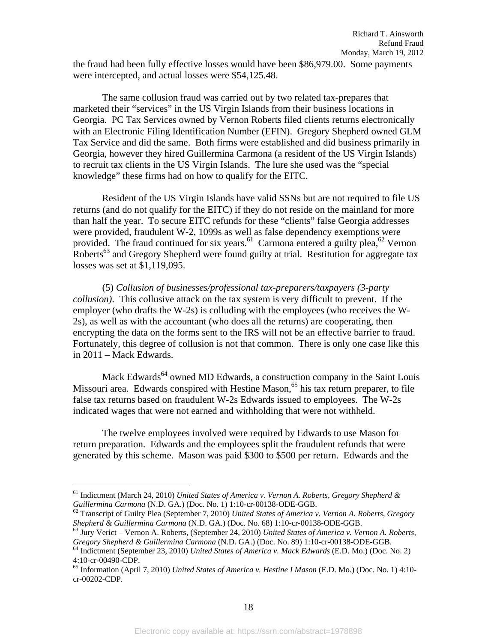the fraud had been fully effective losses would have been \$86,979.00. Some payments were intercepted, and actual losses were \$54,125.48.

The same collusion fraud was carried out by two related tax-prepares that marketed their "services" in the US Virgin Islands from their business locations in Georgia. PC Tax Services owned by Vernon Roberts filed clients returns electronically with an Electronic Filing Identification Number (EFIN). Gregory Shepherd owned GLM Tax Service and did the same. Both firms were established and did business primarily in Georgia, however they hired Guillermina Carmona (a resident of the US Virgin Islands) to recruit tax clients in the US Virgin Islands. The lure she used was the "special knowledge" these firms had on how to qualify for the EITC.

Resident of the US Virgin Islands have valid SSNs but are not required to file US returns (and do not qualify for the EITC) if they do not reside on the mainland for more than half the year. To secure EITC refunds for these "clients" false Georgia addresses were provided, fraudulent W-2, 1099s as well as false dependency exemptions were provided. The fraud continued for six years.<sup>61</sup> Carmona entered a guilty plea,<sup>62</sup> Vernon Roberts<sup>63</sup> and Gregory Shepherd were found guilty at trial. Restitution for aggregate tax losses was set at \$1,119,095.

(5) *Collusion of businesses/professional tax-preparers/taxpayers (3-party collusion)*. This collusive attack on the tax system is very difficult to prevent. If the employer (who drafts the W-2s) is colluding with the employees (who receives the W-2s), as well as with the accountant (who does all the returns) are cooperating, then encrypting the data on the forms sent to the IRS will not be an effective barrier to fraud. Fortunately, this degree of collusion is not that common. There is only one case like this in 2011 – Mack Edwards.

Mack Edwards<sup>64</sup> owned MD Edwards, a construction company in the Saint Louis Missouri area. Edwards conspired with Hestine Mason,  $65$  his tax return preparer, to file false tax returns based on fraudulent W-2s Edwards issued to employees. The W-2s indicated wages that were not earned and withholding that were not withheld.

The twelve employees involved were required by Edwards to use Mason for return preparation. Edwards and the employees split the fraudulent refunds that were generated by this scheme. Mason was paid \$300 to \$500 per return. Edwards and the

<sup>&</sup>lt;sup>61</sup> Indictment (March 24, 2010) *United States of America v. Vernon A. Roberts, Gregory Shepherd & Guillermina Carmona* (N.D. GA.) (Doc. No. 1) 1:10-cr-00138-ODE-GGB.

<sup>&</sup>lt;sup>62</sup> Transcript of Guilty Plea (September 7, 2010) *United States of America v. Vernon A. Roberts, Gregory Shepherd & Guillermina Carmona* (N.D. GA.) (Doc. No. 68) 1:10-cr-00138-ODE-GGB.

<sup>&</sup>lt;sup>63</sup> Jury Verict – Vernon A. Roberts, (September 24, 2010) *United States of America v. Vernon A. Roberts, Gregory Shepherd & Guillermina Carmona* (N.D. GA.) (Doc. No. 89) 1:10-cr-00138-ODE-GGB. 64 Indictment (September 23, 2010) *United States of America v. Mack Edwards* (E.D. Mo.) (Doc. No. 2)

<sup>4:10-</sup>cr-00490-CDP.

<sup>65</sup> Information (April 7, 2010) *United States of America v. Hestine I Mason* (E.D. Mo.) (Doc. No. 1) 4:10 cr-00202-CDP.